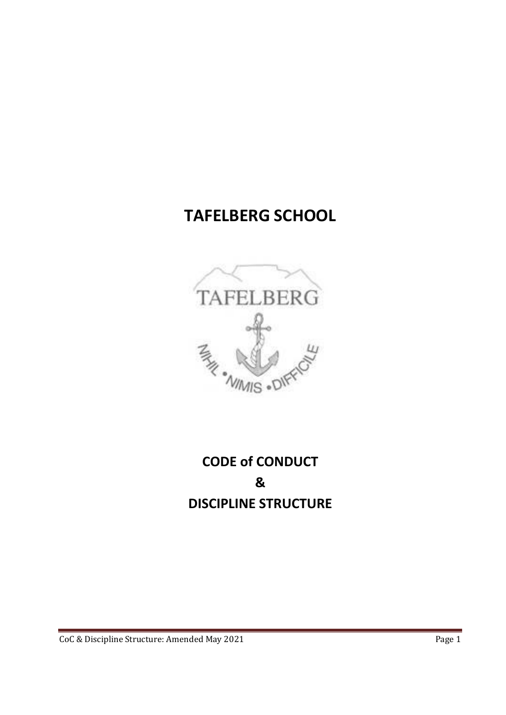# **TAFELBERG SCHOOL**



# **CODE of CONDUCT & DISCIPLINE STRUCTURE**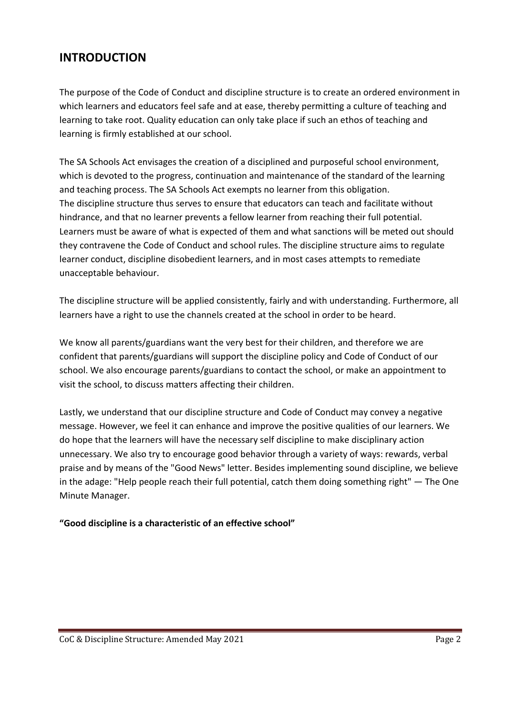# **INTRODUCTION**

The purpose of the Code of Conduct and discipline structure is to create an ordered environment in which learners and educators feel safe and at ease, thereby permitting a culture of teaching and learning to take root. Quality education can only take place if such an ethos of teaching and learning is firmly established at our school.

The SA Schools Act envisages the creation of a disciplined and purposeful school environment, which is devoted to the progress, continuation and maintenance of the standard of the learning and teaching process. The SA Schools Act exempts no learner from this obligation. The discipline structure thus serves to ensure that educators can teach and facilitate without hindrance, and that no learner prevents a fellow learner from reaching their full potential. Learners must be aware of what is expected of them and what sanctions will be meted out should they contravene the Code of Conduct and school rules. The discipline structure aims to regulate learner conduct, discipline disobedient learners, and in most cases attempts to remediate unacceptable behaviour.

The discipline structure will be applied consistently, fairly and with understanding. Furthermore, all learners have a right to use the channels created at the school in order to be heard.

We know all parents/guardians want the very best for their children, and therefore we are confident that parents/guardians will support the discipline policy and Code of Conduct of our school. We also encourage parents/guardians to contact the school, or make an appointment to visit the school, to discuss matters affecting their children.

Lastly, we understand that our discipline structure and Code of Conduct may convey a negative message. However, we feel it can enhance and improve the positive qualities of our learners. We do hope that the learners will have the necessary self discipline to make disciplinary action unnecessary. We also try to encourage good behavior through a variety of ways: rewards, verbal praise and by means of the "Good News" letter. Besides implementing sound discipline, we believe in the adage: "Help people reach their full potential, catch them doing something right" — The One Minute Manager.

#### **"Good discipline is a characteristic of an effective school"**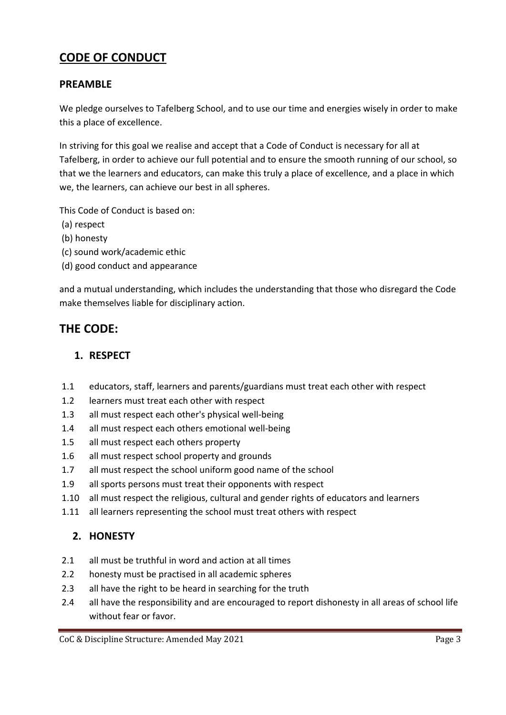# **CODE OF CONDUCT**

#### **PREAMBLE**

We pledge ourselves to Tafelberg School, and to use our time and energies wisely in order to make this a place of excellence.

In striving for this goal we realise and accept that a Code of Conduct is necessary for all at Tafelberg, in order to achieve our full potential and to ensure the smooth running of our school, so that we the learners and educators, can make this truly a place of excellence, and a place in which we, the learners, can achieve our best in all spheres.

This Code of Conduct is based on:

- (a) respect
- (b) honesty
- (c) sound work/academic ethic
- (d) good conduct and appearance

and a mutual understanding, which includes the understanding that those who disregard the Code make themselves liable for disciplinary action.

#### **THE CODE:**

#### **1. RESPECT**

- 1.1 educators, staff, learners and parents/guardians must treat each other with respect
- 1.2 learners must treat each other with respect
- 1.3 all must respect each other's physical well‐being
- 1.4 all must respect each others emotional well‐being
- 1.5 all must respect each others property
- 1.6 all must respect school property and grounds
- 1.7 all must respect the school uniform good name of the school
- 1.9 all sports persons must treat their opponents with respect
- 1.10 all must respect the religious, cultural and gender rights of educators and learners
- 1.11 all learners representing the school must treat others with respect

#### **2. HONESTY**

- 2.1 all must be truthful in word and action at all times
- 2.2 honesty must be practised in all academic spheres
- 2.3 all have the right to be heard in searching for the truth
- 2.4 all have the responsibility and are encouraged to report dishonesty in all areas of school life without fear or favor.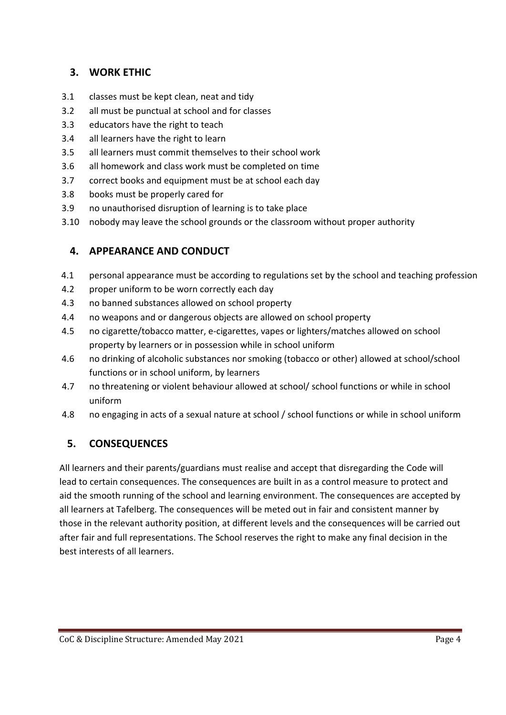### **3. WORK ETHIC**

- 3.1 classes must be kept clean, neat and tidy
- 3.2 all must be punctual at school and for classes
- 3.3 educators have the right to teach
- 3.4 all learners have the right to learn
- 3.5 all learners must commit themselves to their school work
- 3.6 all homework and class work must be completed on time
- 3.7 correct books and equipment must be at school each day
- 3.8 books must be properly cared for
- 3.9 no unauthorised disruption of learning is to take place
- 3.10 nobody may leave the school grounds or the classroom without proper authority

# **4. APPEARANCE AND CONDUCT**

- 4.1 personal appearance must be according to regulations set by the school and teaching profession
- 4.2 proper uniform to be worn correctly each day
- 4.3 no banned substances allowed on school property
- 4.4 no weapons and or dangerous objects are allowed on school property
- 4.5 no cigarette/tobacco matter, e-cigarettes, vapes or lighters/matches allowed on school property by learners or in possession while in school uniform
- 4.6 no drinking of alcoholic substances nor smoking (tobacco or other) allowed at school/school functions or in school uniform, by learners
- 4.7 no threatening or violent behaviour allowed at school/ school functions or while in school uniform
- 4.8 no engaging in acts of a sexual nature at school / school functions or while in school uniform

#### **5. CONSEQUENCES**

All learners and their parents/guardians must realise and accept that disregarding the Code will lead to certain consequences. The consequences are built in as a control measure to protect and aid the smooth running of the school and learning environment. The consequences are accepted by all learners at Tafelberg. The consequences will be meted out in fair and consistent manner by those in the relevant authority position, at different levels and the consequences will be carried out after fair and full representations. The School reserves the right to make any final decision in the best interests of all learners.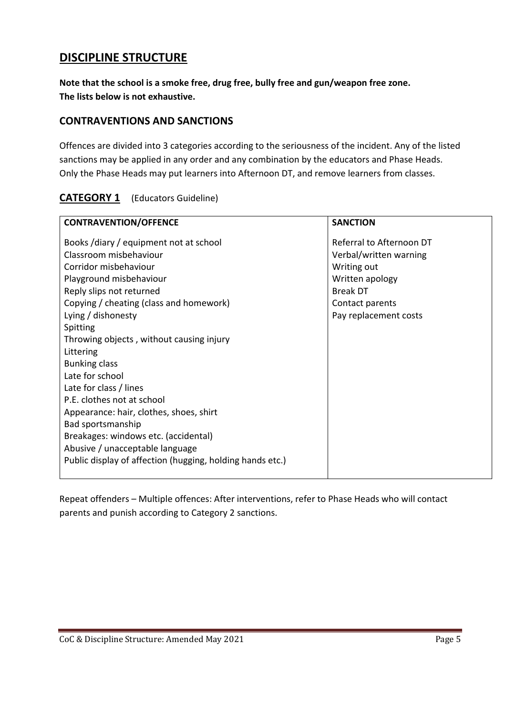# **DISCIPLINE STRUCTURE**

**Note that the school is a smoke free, drug free, bully free and gun/weapon free zone. The lists below is not exhaustive.** 

#### **CONTRAVENTIONS AND SANCTIONS**

Offences are divided into 3 categories according to the seriousness of the incident. Any of the listed sanctions may be applied in any order and any combination by the educators and Phase Heads. Only the Phase Heads may put learners into Afternoon DT, and remove learners from classes.

| <b>CONTRAVENTION/OFFENCE</b>                              | <b>SANCTION</b>          |
|-----------------------------------------------------------|--------------------------|
| Books /diary / equipment not at school                    | Referral to Afternoon DT |
| Classroom misbehaviour                                    | Verbal/written warning   |
| Corridor misbehaviour                                     | Writing out              |
| Playground misbehaviour                                   | Written apology          |
| Reply slips not returned                                  | <b>Break DT</b>          |
| Copying / cheating (class and homework)                   | Contact parents          |
| Lying / dishonesty                                        | Pay replacement costs    |
| Spitting                                                  |                          |
| Throwing objects, without causing injury                  |                          |
| Littering                                                 |                          |
| <b>Bunking class</b>                                      |                          |
| Late for school                                           |                          |
| Late for class / lines                                    |                          |
| P.E. clothes not at school                                |                          |
| Appearance: hair, clothes, shoes, shirt                   |                          |
| Bad sportsmanship                                         |                          |
| Breakages: windows etc. (accidental)                      |                          |
| Abusive / unacceptable language                           |                          |
| Public display of affection (hugging, holding hands etc.) |                          |
|                                                           |                          |

## **CATEGORY 1** (Educators Guideline)

Repeat offenders – Multiple offences: After interventions, refer to Phase Heads who will contact parents and punish according to Category 2 sanctions.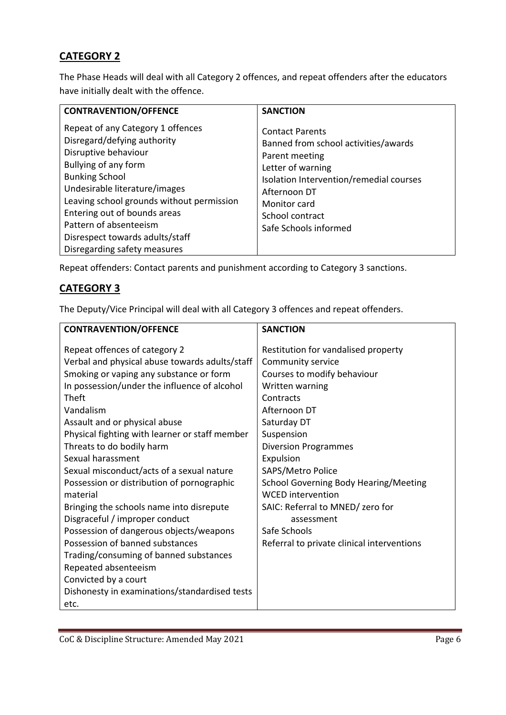## **CATEGORY 2**

The Phase Heads will deal with all Category 2 offences, and repeat offenders after the educators have initially dealt with the offence.

| <b>CONTRAVENTION/OFFENCE</b>                                                                                                                                                                                                                                                                                                                         | <b>SANCTION</b>                                                                                                                                                                                                              |
|------------------------------------------------------------------------------------------------------------------------------------------------------------------------------------------------------------------------------------------------------------------------------------------------------------------------------------------------------|------------------------------------------------------------------------------------------------------------------------------------------------------------------------------------------------------------------------------|
| Repeat of any Category 1 offences<br>Disregard/defying authority<br>Disruptive behaviour<br>Bullying of any form<br><b>Bunking School</b><br>Undesirable literature/images<br>Leaving school grounds without permission<br>Entering out of bounds areas<br>Pattern of absenteeism<br>Disrespect towards adults/staff<br>Disregarding safety measures | <b>Contact Parents</b><br>Banned from school activities/awards<br>Parent meeting<br>Letter of warning<br>Isolation Intervention/remedial courses<br>Afternoon DT<br>Monitor card<br>School contract<br>Safe Schools informed |

Repeat offenders: Contact parents and punishment according to Category 3 sanctions.

#### **CATEGORY 3**

The Deputy/Vice Principal will deal with all Category 3 offences and repeat offenders.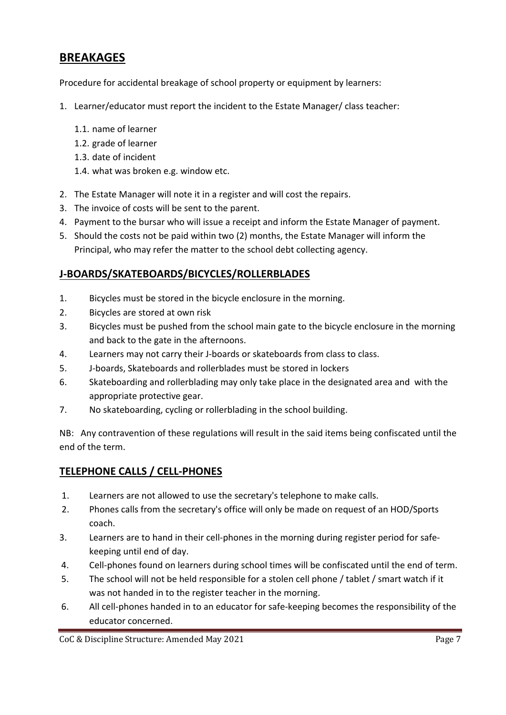# **BREAKAGES**

Procedure for accidental breakage of school property or equipment by learners:

- 1. Learner/educator must report the incident to the Estate Manager/ class teacher:
	- 1.1. name of learner
	- 1.2. grade of learner
	- 1.3. date of incident
	- 1.4. what was broken e.g. window etc.
- 2. The Estate Manager will note it in a register and will cost the repairs.
- 3. The invoice of costs will be sent to the parent.
- 4. Payment to the bursar who will issue a receipt and inform the Estate Manager of payment.
- 5. Should the costs not be paid within two (2) months, the Estate Manager will inform the Principal, who may refer the matter to the school debt collecting agency.

#### **J‐BOARDS/SKATEBOARDS/BICYCLES/ROLLERBLADES**

- 1. Bicycles must be stored in the bicycle enclosure in the morning.
- 2. Bicycles are stored at own risk
- 3. Bicycles must be pushed from the school main gate to the bicycle enclosure in the morning and back to the gate in the afternoons.
- 4. Learners may not carry their J‐boards or skateboards from class to class.
- 5. J‐boards, Skateboards and rollerblades must be stored in lockers
- 6. Skateboarding and rollerblading may only take place in the designated area and with the appropriate protective gear.
- 7. No skateboarding, cycling or rollerblading in the school building.

NB: Any contravention of these regulations will result in the said items being confiscated until the end of the term.

#### **TELEPHONE CALLS / CELL‐PHONES**

- 1. Learners are not allowed to use the secretary's telephone to make calls.
- 2. Phones calls from the secretary's office will only be made on request of an HOD/Sports coach.
- 3. Learners are to hand in their cell‐phones in the morning during register period for safe‐ keeping until end of day.
- 4. Cell-phones found on learners during school times will be confiscated until the end of term.
- 5. The school will not be held responsible for a stolen cell phone / tablet / smart watch if it was not handed in to the register teacher in the morning.
- 6. All cell‐phones handed in to an educator for safe‐keeping becomes the responsibility of the educator concerned.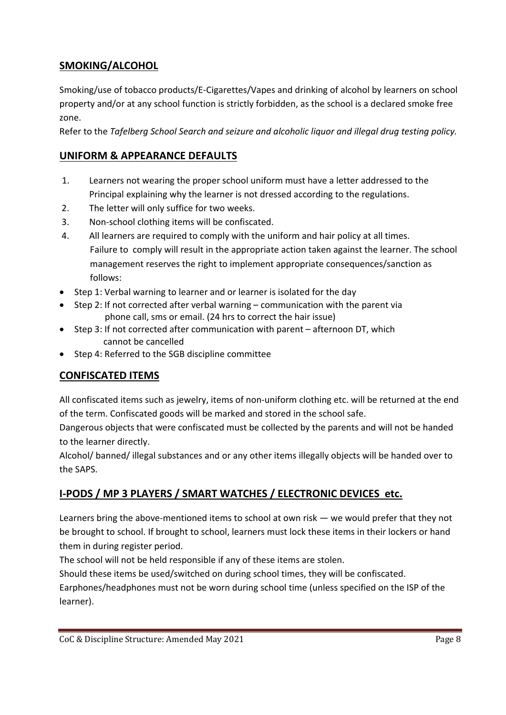## **SMOKING/ALCOHOL**

Smoking/use of tobacco products/E‐Cigarettes/Vapes and drinking of alcohol by learners on school property and/or at any school function is strictly forbidden, as the school is a declared smoke free zone.

Refer to the *Tafelberg School Search and seizure and alcoholic liquor and illegal drug testing policy.*

## **UNIFORM & APPEARANCE DEFAULTS**

- 1. Learners not wearing the proper school uniform must have a letter addressed to the Principal explaining why the learner is not dressed according to the regulations.
- 2. The letter will only suffice for two weeks.
- 3. Non‐school clothing items will be confiscated.
- 4. All learners are required to comply with the uniform and hair policy at all times. Failure to comply will result in the appropriate action taken against the learner. The school management reserves the right to implement appropriate consequences/sanction as follows:
- Step 1: Verbal warning to learner and or learner is isolated for the day
- Step 2: If not corrected after verbal warning communication with the parent via phone call, sms or email. (24 hrs to correct the hair issue)
- Step 3: If not corrected after communication with parent afternoon DT, which cannot be cancelled
- Step 4: Referred to the SGB discipline committee

# **CONFISCATED ITEMS**

All confiscated items such as jewelry, items of non-uniform clothing etc. will be returned at the end of the term. Confiscated goods will be marked and stored in the school safe.

Dangerous objects that were confiscated must be collected by the parents and will not be handed to the learner directly.

Alcohol/ banned/ illegal substances and or any other items illegally objects will be handed over to the SAPS.

# **I‐PODS / MP 3 PLAYERS / SMART WATCHES / ELECTRONIC DEVICES etc.**

Learners bring the above-mentioned items to school at own risk — we would prefer that they not be brought to school. If brought to school, learners must lock these items in their lockers or hand them in during register period.

The school will not be held responsible if any of these items are stolen.

Should these items be used/switched on during school times, they will be confiscated.

Earphones/headphones must not be worn during school time (unless specified on the ISP of the learner).